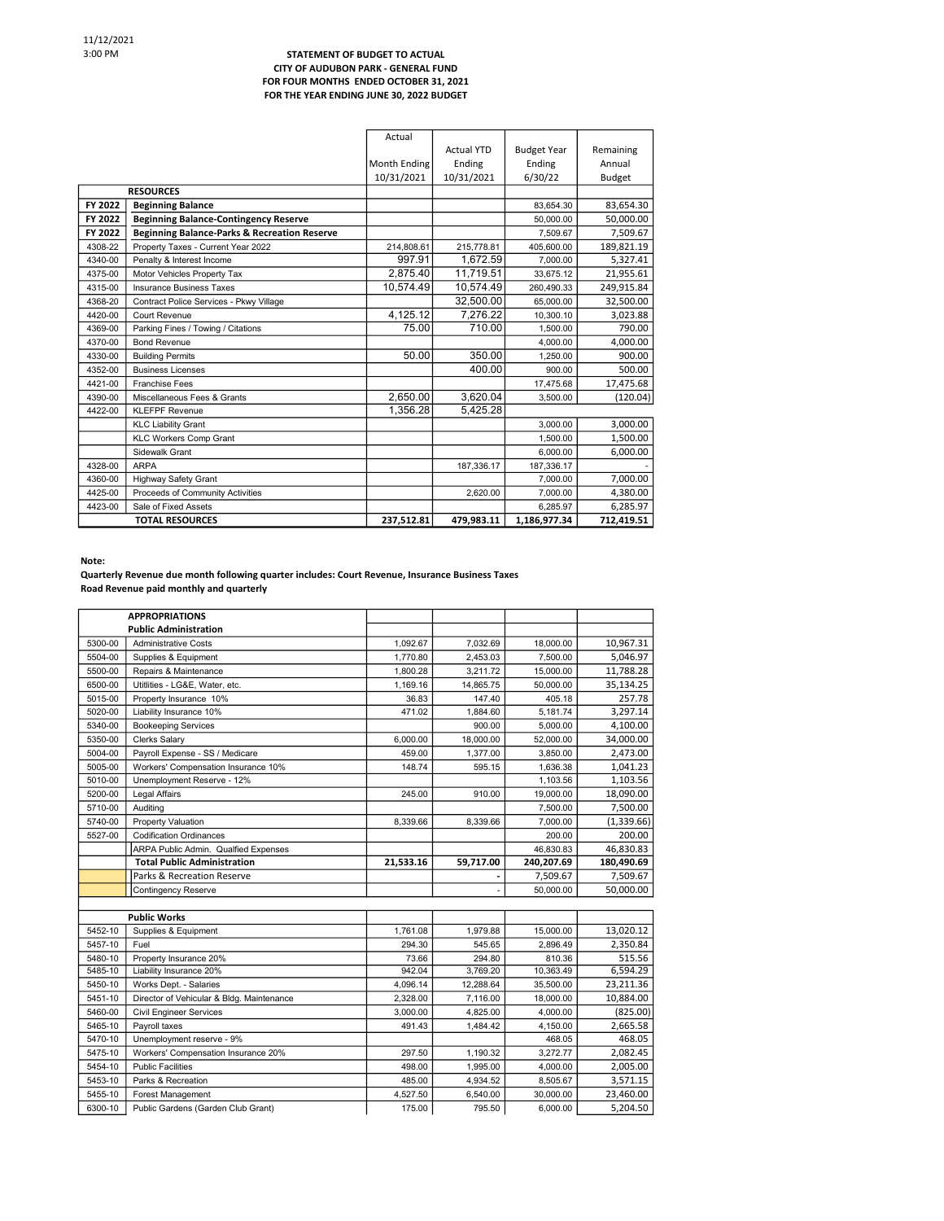## STATEMENT OF BUDGET TO ACTUAL CITY OF AUDUBON PARK - GENERAL FUND FOR FOUR MONTHS ENDED OCTOBER 31, 2021 FOR THE YEAR ENDING JUNE 30, 2022 BUDGET

|         |                                                         | Actual       |                   |                    |            |
|---------|---------------------------------------------------------|--------------|-------------------|--------------------|------------|
|         |                                                         |              | <b>Actual YTD</b> | <b>Budget Year</b> | Remaining  |
|         |                                                         | Month Ending | Ending            | Ending             | Annual     |
|         |                                                         | 10/31/2021   | 10/31/2021        | 6/30/22            | Budget     |
|         | <b>RESOURCES</b>                                        |              |                   |                    |            |
| FY 2022 | <b>Beginning Balance</b>                                |              |                   | 83,654.30          | 83,654.30  |
| FY 2022 | <b>Beginning Balance-Contingency Reserve</b>            |              |                   | 50.000.00          | 50,000.00  |
| FY 2022 | <b>Beginning Balance-Parks &amp; Recreation Reserve</b> |              |                   | 7.509.67           | 7.509.67   |
| 4308-22 | Property Taxes - Current Year 2022                      | 214,808.61   | 215,778.81        | 405,600.00         | 189,821.19 |
| 4340-00 | Penalty & Interest Income                               | 997.91       | 1,672.59          | 7.000.00           | 5,327.41   |
| 4375-00 | Motor Vehicles Property Tax                             | 2.875.40     | 11.719.51         | 33.675.12          | 21,955.61  |
| 4315-00 | <b>Insurance Business Taxes</b>                         | 10.574.49    | 10,574.49         | 260.490.33         | 249,915.84 |
| 4368-20 | Contract Police Services - Pkwy Village                 |              | 32,500.00         | 65,000.00          | 32,500.00  |
| 4420-00 | Court Revenue                                           | 4.125.12     | 7.276.22          | 10.300.10          | 3,023.88   |
| 4369-00 | Parking Fines / Towing / Citations                      | 75.00        | 710.00            | 1.500.00           | 790.00     |
| 4370-00 | <b>Bond Revenue</b>                                     |              |                   | 4,000.00           | 4,000.00   |
| 4330-00 | <b>Building Permits</b>                                 | 50.00        | 350.00            | 1.250.00           | 900.00     |
| 4352-00 | <b>Business Licenses</b>                                |              | 400.00            | 900.00             | 500.00     |
| 4421-00 | <b>Franchise Fees</b>                                   |              |                   | 17,475.68          | 17,475.68  |
| 4390-00 | Miscellaneous Fees & Grants                             | 2,650.00     | 3,620.04          | 3,500.00           | (120.04)   |
| 4422-00 | <b>KLEFPF Revenue</b>                                   | 1.356.28     | 5.425.28          |                    |            |
|         | <b>KLC Liability Grant</b>                              |              |                   | 3,000.00           | 3,000.00   |
|         | <b>KLC Workers Comp Grant</b>                           |              |                   | 1,500.00           | 1,500.00   |
|         | Sidewalk Grant                                          |              |                   | 6.000.00           | 6,000.00   |
| 4328-00 | <b>ARPA</b>                                             |              | 187,336.17        | 187.336.17         |            |
| 4360-00 | <b>Highway Safety Grant</b>                             |              |                   | 7,000.00           | 7,000.00   |
| 4425-00 | Proceeds of Community Activities                        |              | 2,620.00          | 7,000.00           | 4,380.00   |
| 4423-00 | Sale of Fixed Assets                                    |              |                   | 6.285.97           | 6,285.97   |
|         | <b>TOTAL RESOURCES</b>                                  | 237,512.81   | 479,983.11        | 1,186,977.34       | 712,419.51 |

Note:

Quarterly Revenue due month following quarter includes: Court Revenue, Insurance Business Taxes Road Revenue paid monthly and quarterly

|         | <b>APPROPRIATIONS</b>                     |           |                |            |             |
|---------|-------------------------------------------|-----------|----------------|------------|-------------|
|         | <b>Public Administration</b>              |           |                |            |             |
| 5300-00 | <b>Administrative Costs</b>               | 1,092.67  | 7,032.69       | 18,000.00  | 10,967.31   |
| 5504-00 | Supplies & Equipment                      | 1,770.80  | 2,453.03       | 7,500.00   | 5,046.97    |
| 5500-00 | Repairs & Maintenance                     | 1.800.28  | 3,211.72       | 15,000.00  | 11,788.28   |
| 6500-00 | Utitlities - LG&E, Water, etc.            | 1,169.16  | 14,865.75      | 50,000.00  | 35,134.25   |
| 5015-00 | Property Insurance 10%                    | 36.83     | 147.40         | 405.18     | 257.78      |
| 5020-00 | Liability Insurance 10%                   | 471.02    | 1,884.60       | 5,181.74   | 3,297.14    |
| 5340-00 | <b>Bookeeping Services</b>                |           | 900.00         | 5,000.00   | 4,100.00    |
| 5350-00 | <b>Clerks Salary</b>                      | 6.000.00  | 18,000.00      | 52,000.00  | 34,000.00   |
| 5004-00 | Payroll Expense - SS / Medicare           | 459.00    | 1,377.00       | 3,850.00   | 2,473.00    |
| 5005-00 | Workers' Compensation Insurance 10%       | 148.74    | 595.15         | 1,636.38   | 1,041.23    |
| 5010-00 | Unemployment Reserve - 12%                |           |                | 1,103.56   | 1,103.56    |
| 5200-00 | <b>Legal Affairs</b>                      | 245.00    | 910.00         | 19,000.00  | 18,090.00   |
| 5710-00 | Auditing                                  |           |                | 7,500.00   | 7,500.00    |
| 5740-00 | Property Valuation                        | 8,339.66  | 8,339.66       | 7,000.00   | (1, 339.66) |
| 5527-00 | <b>Codification Ordinances</b>            |           |                | 200.00     | 200.00      |
|         | ARPA Public Admin. Qualfied Expenses      |           |                | 46,830.83  | 46,830.83   |
|         | <b>Total Public Administration</b>        | 21,533.16 | 59,717.00      | 240,207.69 | 180,490.69  |
|         | Parks & Recreation Reserve                |           | ٠              | 7,509.67   | 7,509.67    |
|         | <b>Contingency Reserve</b>                |           | $\overline{a}$ | 50,000.00  | 50,000.00   |
|         |                                           |           |                |            |             |
|         | <b>Public Works</b>                       |           |                |            |             |
| 5452-10 | Supplies & Equipment                      | 1,761.08  | 1,979.88       | 15,000.00  | 13,020.12   |
| 5457-10 | Fuel                                      | 294.30    | 545.65         | 2,896.49   | 2,350.84    |
| 5480-10 | Property Insurance 20%                    | 73.66     | 294.80         | 810.36     | 515.56      |
| 5485-10 | Liability Insurance 20%                   | 942.04    | 3,769.20       | 10,363.49  | 6,594.29    |
| 5450-10 | Works Dept. - Salaries                    | 4,096.14  | 12,288.64      | 35,500.00  | 23,211.36   |
| 5451-10 | Director of Vehicular & Bldg. Maintenance | 2,328.00  | 7,116.00       | 18,000.00  | 10,884.00   |
| 5460-00 | <b>Civil Engineer Services</b>            | 3,000.00  | 4,825.00       | 4,000.00   | (825.00)    |
| 5465-10 | Payroll taxes                             | 491.43    | 1,484.42       | 4,150.00   | 2,665.58    |
| 5470-10 | Unemployment reserve - 9%                 |           |                | 468.05     | 468.05      |
| 5475-10 | Workers' Compensation Insurance 20%       | 297.50    | 1,190.32       | 3,272.77   | 2,082.45    |
| 5454-10 | <b>Public Facilities</b>                  | 498.00    | 1,995.00       | 4,000.00   | 2,005.00    |
| 5453-10 | Parks & Recreation                        | 485.00    | 4,934.52       | 8,505.67   | 3,571.15    |
| 5455-10 | Forest Management                         | 4,527.50  | 6,540.00       | 30,000.00  | 23,460.00   |
|         |                                           |           |                |            |             |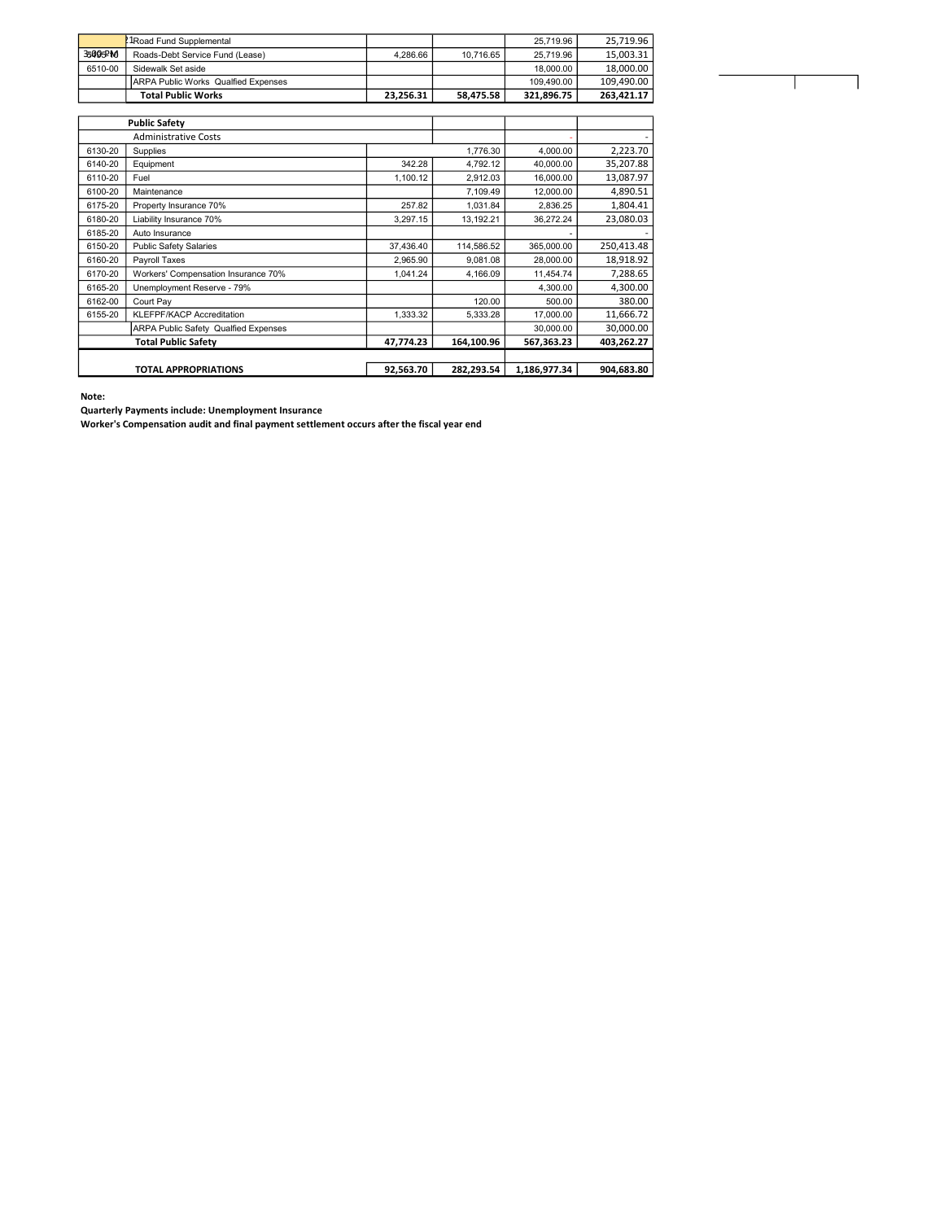|         | ! 1Road Fund Supplemental                   |           |           | 25.719.96  | 25.719.96  |
|---------|---------------------------------------------|-----------|-----------|------------|------------|
| 35005PM | Roads-Debt Service Fund (Lease)             | 4.286.66  | 10.716.65 | 25.719.96  | 15.003.31  |
| 6510-00 | Sidewalk Set aside                          |           |           | 18,000.00  | 18.000.00  |
|         | <b>JARPA Public Works Qualfied Expenses</b> |           |           | 109.490.00 | 109.490.00 |
|         | <b>Total Public Works</b>                   | 23.256.31 | 58.475.58 | 321.896.75 | 263.421.17 |

| <b>Public Safety</b>        |                                             |           |            |              |            |
|-----------------------------|---------------------------------------------|-----------|------------|--------------|------------|
| <b>Administrative Costs</b> |                                             |           |            |              |            |
| 6130-20                     | Supplies                                    |           | 1,776.30   | 4,000.00     | 2,223.70   |
| 6140-20                     | Equipment                                   | 342.28    | 4.792.12   | 40.000.00    | 35,207.88  |
| 6110-20                     | Fuel                                        | 1,100.12  | 2,912.03   | 16,000.00    | 13,087.97  |
| 6100-20                     | Maintenance                                 |           | 7,109.49   | 12,000.00    | 4,890.51   |
| 6175-20                     | Property Insurance 70%                      | 257.82    | 1,031.84   | 2,836.25     | 1,804.41   |
| 6180-20                     | Liability Insurance 70%                     | 3,297.15  | 13,192.21  | 36.272.24    | 23,080.03  |
| 6185-20                     | Auto Insurance                              |           |            |              |            |
| 6150-20                     | <b>Public Safety Salaries</b>               | 37,436.40 | 114,586.52 | 365,000.00   | 250,413.48 |
| 6160-20                     | Payroll Taxes                               | 2,965.90  | 9,081.08   | 28,000.00    | 18,918.92  |
| 6170-20                     | Workers' Compensation Insurance 70%         | 1,041.24  | 4,166.09   | 11,454.74    | 7,288.65   |
| 6165-20                     | Unemployment Reserve - 79%                  |           |            | 4.300.00     | 4,300.00   |
| 6162-00                     | Court Pay                                   |           | 120.00     | 500.00       | 380.00     |
| 6155-20                     | <b>KLEFPF/KACP Accreditation</b>            | 1,333.32  | 5,333.28   | 17,000.00    | 11,666.72  |
|                             | <b>ARPA Public Safety Qualfied Expenses</b> |           |            | 30,000.00    | 30,000.00  |
| <b>Total Public Safety</b>  |                                             | 47,774.23 | 164,100.96 | 567,363.23   | 403,262.27 |
|                             |                                             |           |            |              |            |
| <b>TOTAL APPROPRIATIONS</b> |                                             | 92,563.70 | 282,293.54 | 1,186,977.34 | 904,683.80 |

Note:

Quarterly Payments include: Unemployment Insurance

Worker's Compensation audit and final payment settlement occurs after the fiscal year end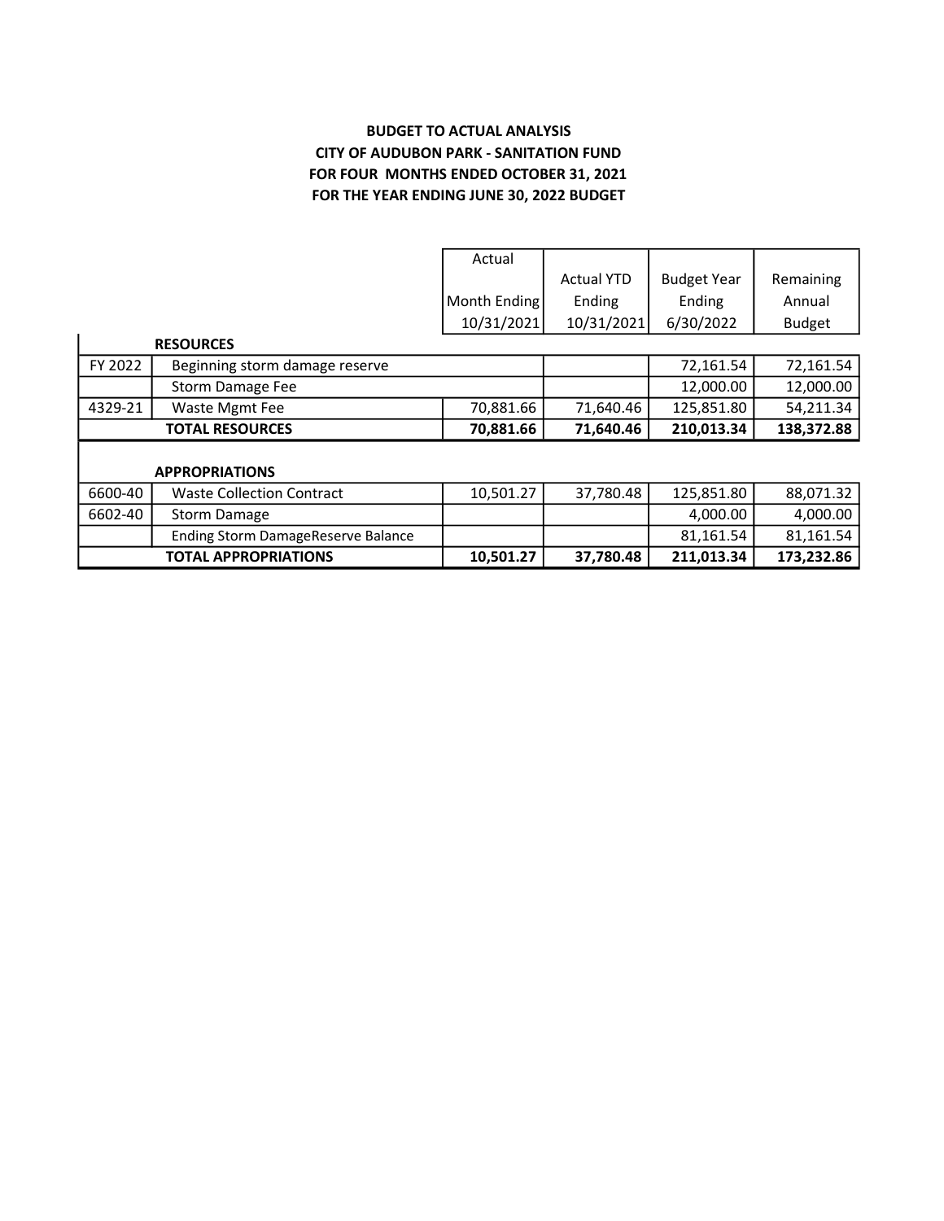## BUDGET TO ACTUAL ANALYSIS CITY OF AUDUBON PARK - SANITATION FUND FOR FOUR MONTHS ENDED OCTOBER 31, 2021 FOR THE YEAR ENDING JUNE 30, 2022 BUDGET

|                                     |                                    | Actual       |                   |                    |               |  |
|-------------------------------------|------------------------------------|--------------|-------------------|--------------------|---------------|--|
|                                     |                                    |              | <b>Actual YTD</b> | <b>Budget Year</b> | Remaining     |  |
|                                     |                                    | Month Ending | Ending            | Ending             | Annual        |  |
|                                     |                                    | 10/31/2021   | 10/31/2021        | 6/30/2022          | <b>Budget</b> |  |
|                                     | <b>RESOURCES</b>                   |              |                   |                    |               |  |
| FY 2022                             | Beginning storm damage reserve     |              |                   | 72,161.54          | 72,161.54     |  |
|                                     | Storm Damage Fee                   |              |                   | 12,000.00          | 12,000.00     |  |
| 4329-21                             | Waste Mgmt Fee                     | 70,881.66    | 71,640.46         | 125,851.80         | 54,211.34     |  |
| <b>TOTAL RESOURCES</b><br>70,881.66 |                                    | 71,640.46    | 210,013.34        | 138,372.88         |               |  |
|                                     |                                    |              |                   |                    |               |  |
| <b>APPROPRIATIONS</b>               |                                    |              |                   |                    |               |  |
| 6600-40                             | <b>Waste Collection Contract</b>   | 10,501.27    | 37,780.48         | 125,851.80         | 88,071.32     |  |
| 6602-40                             | <b>Storm Damage</b>                |              |                   | 4,000.00           | 4,000.00      |  |
|                                     | Ending Storm DamageReserve Balance |              |                   | 81,161.54          | 81,161.54     |  |
|                                     | <b>TOTAL APPROPRIATIONS</b>        | 10,501.27    | 37,780.48         | 211,013.34         | 173,232.86    |  |